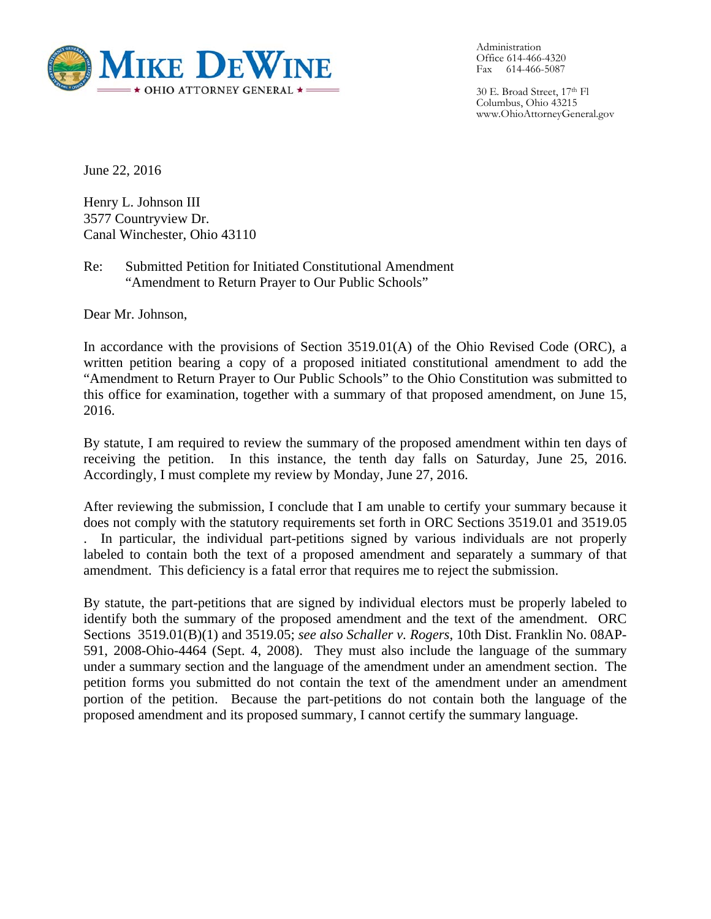

Administration Office 614-466-4320 Fax 614-466-5087

30 E. Broad Street, 17th Fl Columbus, Ohio 43215 www.OhioAttorneyGeneral.gov

June 22, 2016

Henry L. Johnson III 3577 Countryview Dr. Canal Winchester, Ohio 43110

Re: Submitted Petition for Initiated Constitutional Amendment "Amendment to Return Prayer to Our Public Schools"

Dear Mr. Johnson,

In accordance with the provisions of Section 3519.01(A) of the Ohio Revised Code (ORC), a written petition bearing a copy of a proposed initiated constitutional amendment to add the "Amendment to Return Prayer to Our Public Schools" to the Ohio Constitution was submitted to this office for examination, together with a summary of that proposed amendment, on June 15, 2016.

By statute, I am required to review the summary of the proposed amendment within ten days of receiving the petition. In this instance, the tenth day falls on Saturday, June 25, 2016. Accordingly, I must complete my review by Monday, June 27, 2016.

After reviewing the submission, I conclude that I am unable to certify your summary because it does not comply with the statutory requirements set forth in ORC Sections 3519.01 and 3519.05 . In particular, the individual part-petitions signed by various individuals are not properly labeled to contain both the text of a proposed amendment and separately a summary of that amendment. This deficiency is a fatal error that requires me to reject the submission.

By statute, the part-petitions that are signed by individual electors must be properly labeled to identify both the summary of the proposed amendment and the text of the amendment. ORC Sections 3519.01(B)(1) and 3519.05; *see also Schaller v. Rogers*, 10th Dist. Franklin No. 08AP-591, 2008-Ohio-4464 (Sept. 4, 2008). They must also include the language of the summary under a summary section and the language of the amendment under an amendment section. The petition forms you submitted do not contain the text of the amendment under an amendment portion of the petition. Because the part-petitions do not contain both the language of the proposed amendment and its proposed summary, I cannot certify the summary language.